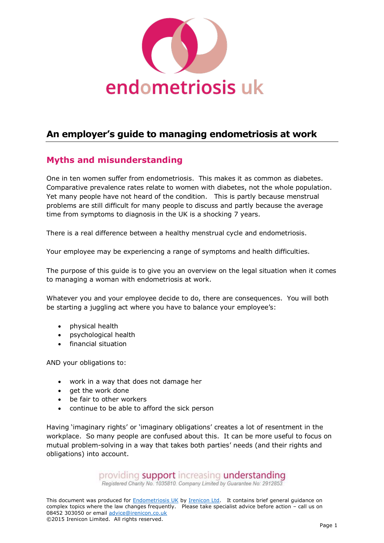

# **An employer's guide to managing endometriosis at work**

# **Myths and misunderstanding**

One in ten women suffer from endometriosis. This makes it as common as diabetes. Comparative prevalence rates relate to women with diabetes, not the whole population. Yet many people have not heard of the condition. This is partly because menstrual problems are still difficult for many people to discuss and partly because the average time from symptoms to diagnosis in the UK is a shocking 7 years.

There is a real difference between a healthy menstrual cycle and endometriosis.

Your employee may be experiencing a range of symptoms and health difficulties.

The purpose of this guide is to give you an overview on the legal situation when it comes to managing a woman with endometriosis at work.

Whatever you and your employee decide to do, there are consequences. You will both be starting a juggling act where you have to balance your employee's:

- physical health
- psychological health
- financial situation

AND your obligations to:

- work in a way that does not damage her
- get the work done
- be fair to other workers
- continue to be able to afford the sick person

Having 'imaginary rights' or 'imaginary obligations' creates a lot of resentment in the workplace. So many people are confused about this. It can be more useful to focus on mutual problem-solving in a way that takes both parties' needs (and their rights and obligations) into account.

providing **support** increasing **understanding**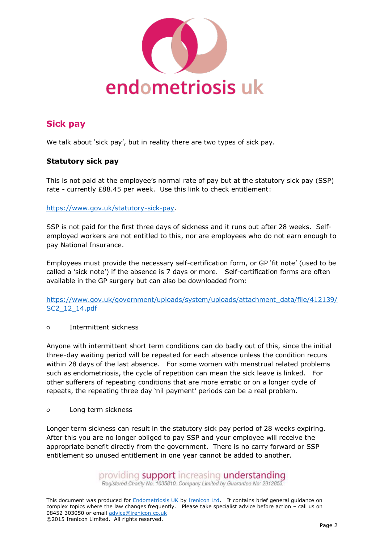

# **Sick pay**

We talk about 'sick pay', but in reality there are two types of sick pay.

### **Statutory sick pay**

This is not paid at the employee's normal rate of pay but at the statutory sick pay (SSP) rate - currently £88.45 per week. Use this link to check entitlement:

#### [https://www.gov.uk/statutory-sick-pay.](https://www.gov.uk/statutory-sick-pay)

SSP is not paid for the first three days of sickness and it runs out after 28 weeks. Selfemployed workers are not entitled to this, nor are employees who do not earn enough to pay National Insurance.

Employees must provide the necessary self-certification form, or GP 'fit note' (used to be called a 'sick note') if the absence is 7 days or more. Self-certification forms are often available in the GP surgery but can also be downloaded from:

[https://www.gov.uk/government/uploads/system/uploads/attachment\\_data/file/412139/](https://www.gov.uk/government/uploads/system/uploads/attachment_data/file/412139/SC2_12_14.pdf) [SC2\\_12\\_14.pdf](https://www.gov.uk/government/uploads/system/uploads/attachment_data/file/412139/SC2_12_14.pdf)

○ Intermittent sickness

Anyone with intermittent short term conditions can do badly out of this, since the initial three-day waiting period will be repeated for each absence unless the condition recurs within 28 days of the last absence. For some women with menstrual related problems such as endometriosis, the cycle of repetition can mean the sick leave is linked. For other sufferers of repeating conditions that are more erratic or on a longer cycle of repeats, the repeating three day 'nil payment' periods can be a real problem.

○ Long term sickness

Longer term sickness can result in the statutory sick pay period of 28 weeks expiring. After this you are no longer obliged to pay SSP and your employee will receive the appropriate benefit directly from the government. There is no carry forward or SSP entitlement so unused entitlement in one year cannot be added to another.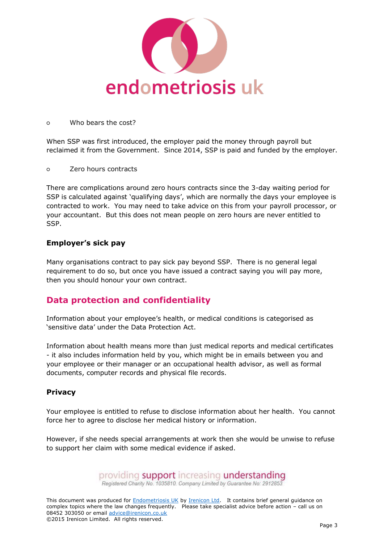

#### ○ Who bears the cost?

When SSP was first introduced, the employer paid the money through payroll but reclaimed it from the Government. Since 2014, SSP is paid and funded by the employer.

○ Zero hours contracts

There are complications around zero hours contracts since the 3-day waiting period for SSP is calculated against 'qualifying days', which are normally the days your employee is contracted to work. You may need to take advice on this from your payroll processor, or your accountant. But this does not mean people on zero hours are never entitled to SSP.

### **Employer's sick pay**

Many organisations contract to pay sick pay beyond SSP. There is no general legal requirement to do so, but once you have issued a contract saying you will pay more, then you should honour your own contract.

## **Data protection and confidentiality**

Information about your employee's health, or medical conditions is categorised as 'sensitive data' under the Data Protection Act.

Information about health means more than just medical reports and medical certificates - it also includes information held by you, which might be in emails between you and your employee or their manager or an occupational health advisor, as well as formal documents, computer records and physical file records.

### **Privacy**

Your employee is entitled to refuse to disclose information about her health. You cannot force her to agree to disclose her medical history or information.

However, if she needs special arrangements at work then she would be unwise to refuse to support her claim with some medical evidence if asked.

providing **support** increasing **understanding**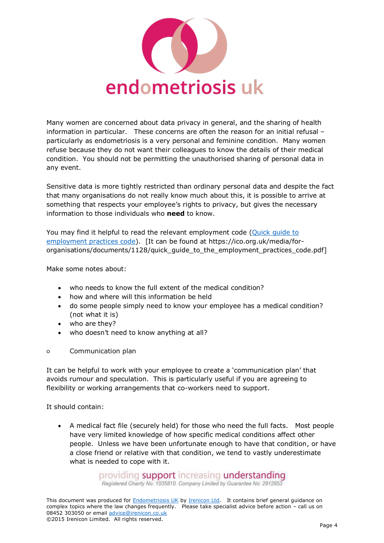

Many women are concerned about data privacy in general, and the sharing of health information in particular. These concerns are often the reason for an initial refusal – particularly as endometriosis is a very personal and feminine condition. Many women refuse because they do not want their colleagues to know the details of their medical condition. You should not be permitting the unauthorised sharing of personal data in any event.

Sensitive data is more tightly restricted than ordinary personal data and despite the fact that many organisations do not really know much about this, it is possible to arrive at something that respects your employee's rights to privacy, but gives the necessary information to those individuals who **need** to know.

You may find it helpful to read the relevant employment code [\(Quick guide to](https://ico.org.uk/media/for-organisations/documents/1128/quick_guide_to_the_employment_practices_code.pdf)  [employment practices code\)](https://ico.org.uk/media/for-organisations/documents/1128/quick_guide_to_the_employment_practices_code.pdf). [It can be found at https://ico.org.uk/media/fororganisations/documents/1128/quick\_guide\_to\_the\_employment\_practices\_code.pdf]

Make some notes about:

- who needs to know the full extent of the medical condition?
- how and where will this information be held
- do some people simply need to know your employee has a medical condition? (not what it is)
- who are they?
- who doesn't need to know anything at all?
- Communication plan

It can be helpful to work with your employee to create a 'communication plan' that avoids rumour and speculation. This is particularly useful if you are agreeing to flexibility or working arrangements that co-workers need to support.

It should contain:

 A medical fact file (securely held) for those who need the full facts. Most people have very limited knowledge of how specific medical conditions affect other people. Unless we have been unfortunate enough to have that condition, or have a close friend or relative with that condition, we tend to vastly underestimate what is needed to cope with it.

> providing support increasing understanding Registered Charity No. 1035810. Company Limited by Guarantee No: 2912853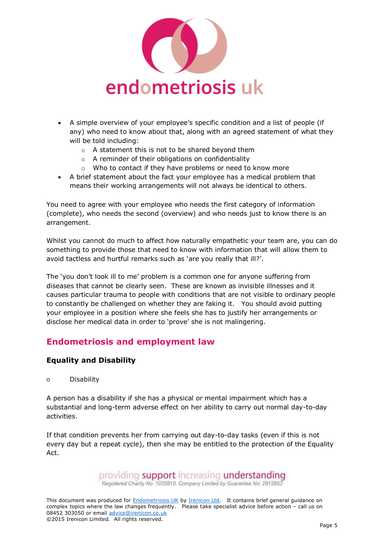

- A simple overview of your employee's specific condition and a list of people (if any) who need to know about that, along with an agreed statement of what they will be told including:
	- o A statement this is not to be shared beyond them
	- o A reminder of their obligations on confidentiality
	- o Who to contact if they have problems or need to know more
- A brief statement about the fact your employee has a medical problem that means their working arrangements will not always be identical to others.

You need to agree with your employee who needs the first category of information (complete), who needs the second (overview) and who needs just to know there is an arrangement.

Whilst you cannot do much to affect how naturally empathetic your team are, you can do something to provide those that need to know with information that will allow them to avoid tactless and hurtful remarks such as 'are you really that ill?'.

The 'you don't look ill to me' problem is a common one for anyone suffering from diseases that cannot be clearly seen. These are known as invisible illnesses and it causes particular trauma to people with conditions that are not visible to ordinary people to constantly be challenged on whether they are faking it. You should avoid putting your employee in a position where she feels she has to justify her arrangements or disclose her medical data in order to 'prove' she is not malingering.

## **Endometriosis and employment law**

### **Equality and Disability**

○ Disability

A person has a disability if she has a physical or mental impairment which has a substantial and long-term adverse effect on her ability to carry out normal day-to-day activities.

If that condition prevents her from carrying out day-to-day tasks (even if this is not every day but a repeat cycle), then she may be entitled to the protection of the Equality Act.

providing **support** increasing **understanding**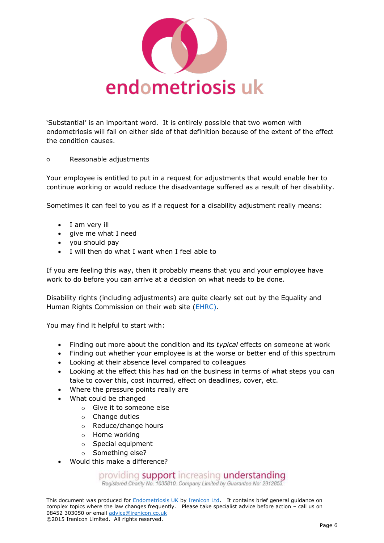

'Substantial' is an important word. It is entirely possible that two women with endometriosis will fall on either side of that definition because of the extent of the effect the condition causes.

○ Reasonable adjustments

Your employee is entitled to put in a request for adjustments that would enable her to continue working or would reduce the disadvantage suffered as a result of her disability.

Sometimes it can feel to you as if a request for a disability adjustment really means:

- I am very ill
- give me what I need
- you should pay
- I will then do what I want when I feel able to

If you are feeling this way, then it probably means that you and your employee have work to do before you can arrive at a decision on what needs to be done.

Disability rights (including adjustments) are quite clearly set out by the Equality and Human Rights Commission on their web site [\(EHRC\).](http://www.equalityhumanrights.com/your-rights/employment/work-place-adjustments)

You may find it helpful to start with:

- Finding out more about the condition and its *typical* effects on someone at work
- Finding out whether your employee is at the worse or better end of this spectrum
- Looking at their absence level compared to colleagues
- Looking at the effect this has had on the business in terms of what steps you can take to cover this, cost incurred, effect on deadlines, cover, etc.
- Where the pressure points really are
- What could be changed
	- o Give it to someone else
	- o Change duties
	- o Reduce/change hours
	- o Home working
	- o Special equipment
	- o Something else?
- Would this make a difference?

## providing support increasing understanding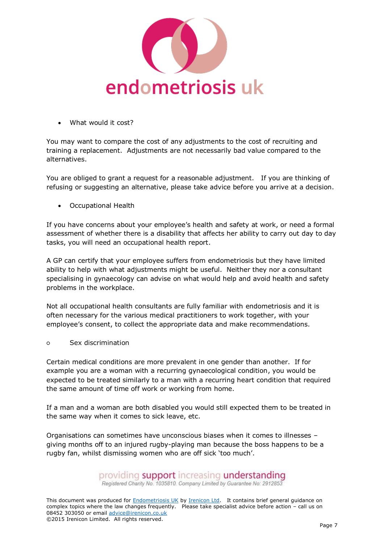

What would it cost?

You may want to compare the cost of any adjustments to the cost of recruiting and training a replacement. Adjustments are not necessarily bad value compared to the alternatives.

You are obliged to grant a request for a reasonable adjustment. If you are thinking of refusing or suggesting an alternative, please take advice before you arrive at a decision.

Occupational Health

If you have concerns about your employee's health and safety at work, or need a formal assessment of whether there is a disability that affects her ability to carry out day to day tasks, you will need an occupational health report.

A GP can certify that your employee suffers from endometriosis but they have limited ability to help with what adjustments might be useful. Neither they nor a consultant specialising in gynaecology can advise on what would help and avoid health and safety problems in the workplace.

Not all occupational health consultants are fully familiar with endometriosis and it is often necessary for the various medical practitioners to work together, with your employee's consent, to collect the appropriate data and make recommendations.

○ Sex discrimination

Certain medical conditions are more prevalent in one gender than another. If for example you are a woman with a recurring gynaecological condition, you would be expected to be treated similarly to a man with a recurring heart condition that required the same amount of time off work or working from home.

If a man and a woman are both disabled you would still expected them to be treated in the same way when it comes to sick leave, etc.

Organisations can sometimes have unconscious biases when it comes to illnesses – giving months off to an injured rugby-playing man because the boss happens to be a rugby fan, whilst dismissing women who are off sick 'too much'.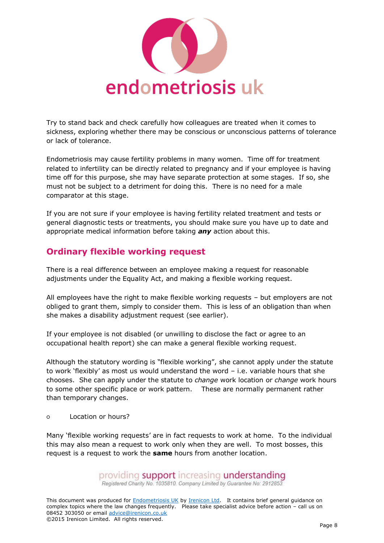

Try to stand back and check carefully how colleagues are treated when it comes to sickness, exploring whether there may be conscious or unconscious patterns of tolerance or lack of tolerance.

Endometriosis may cause fertility problems in many women. Time off for treatment related to infertility can be directly related to pregnancy and if your employee is having time off for this purpose, she may have separate protection at some stages. If so, she must not be subject to a detriment for doing this. There is no need for a male comparator at this stage.

If you are not sure if your employee is having fertility related treatment and tests or general diagnostic tests or treatments, you should make sure you have up to date and appropriate medical information before taking *any* action about this.

# **Ordinary flexible working request**

There is a real difference between an employee making a request for reasonable adjustments under the Equality Act, and making a flexible working request.

All employees have the right to make flexible working requests – but employers are not obliged to grant them, simply to consider them. This is less of an obligation than when she makes a disability adjustment request (see earlier).

If your employee is not disabled (or unwilling to disclose the fact or agree to an occupational health report) she can make a general flexible working request.

Although the statutory wording is "flexible working", she cannot apply under the statute to work 'flexibly' as most us would understand the word – i.e. variable hours that she chooses. She can apply under the statute to *change* work location or *change* work hours to some other specific place or work pattern. These are normally permanent rather than temporary changes.

○ Location or hours?

Many 'flexible working requests' are in fact requests to work at home. To the individual this may also mean a request to work only when they are well. To most bosses, this request is a request to work the **same** hours from another location.

providing **support** increasing **understanding**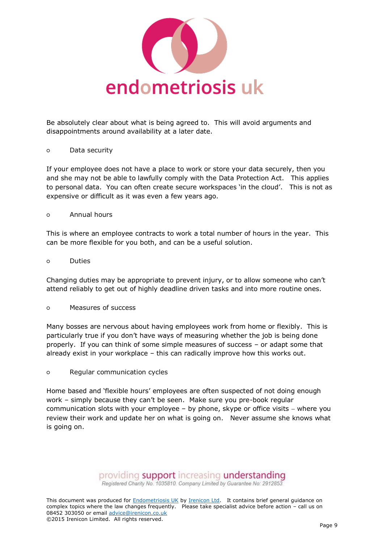

Be absolutely clear about what is being agreed to. This will avoid arguments and disappointments around availability at a later date.

#### ○ Data security

If your employee does not have a place to work or store your data securely, then you and she may not be able to lawfully comply with the Data Protection Act. This applies to personal data. You can often create secure workspaces 'in the cloud'. This is not as expensive or difficult as it was even a few years ago.

#### ○ Annual hours

This is where an employee contracts to work a total number of hours in the year. This can be more flexible for you both, and can be a useful solution.

#### ○ Duties

Changing duties may be appropriate to prevent injury, or to allow someone who can't attend reliably to get out of highly deadline driven tasks and into more routine ones.

#### ○ Measures of success

Many bosses are nervous about having employees work from home or flexibly. This is particularly true if you don't have ways of measuring whether the job is being done properly. If you can think of some simple measures of success – or adapt some that already exist in your workplace – this can radically improve how this works out.

### ○ Regular communication cycles

Home based and 'flexible hours' employees are often suspected of not doing enough work – simply because they can't be seen. Make sure you pre-book regular communication slots with your employee  $-$  by phone, skype or office visits  $-$  where you review their work and update her on what is going on. Never assume she knows what is going on.

providing support increasing understanding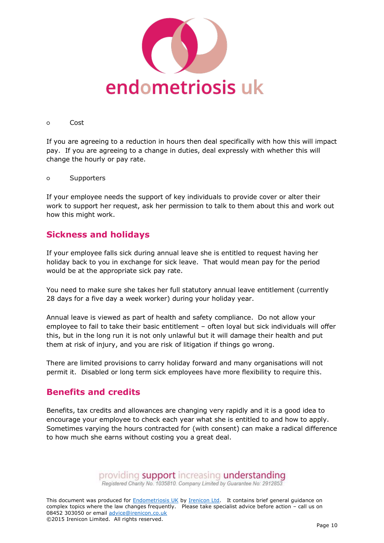

#### ○ Cost

If you are agreeing to a reduction in hours then deal specifically with how this will impact pay. If you are agreeing to a change in duties, deal expressly with whether this will change the hourly or pay rate.

○ Supporters

If your employee needs the support of key individuals to provide cover or alter their work to support her request, ask her permission to talk to them about this and work out how this might work.

### **Sickness and holidays**

If your employee falls sick during annual leave she is entitled to request having her holiday back to you in exchange for sick leave. That would mean pay for the period would be at the appropriate sick pay rate.

You need to make sure she takes her full statutory annual leave entitlement (currently 28 days for a five day a week worker) during your holiday year.

Annual leave is viewed as part of health and safety compliance. Do not allow your employee to fail to take their basic entitlement – often loyal but sick individuals will offer this, but in the long run it is not only unlawful but it will damage their health and put them at risk of injury, and you are risk of litigation if things go wrong.

There are limited provisions to carry holiday forward and many organisations will not permit it. Disabled or long term sick employees have more flexibility to require this.

### **Benefits and credits**

Benefits, tax credits and allowances are changing very rapidly and it is a good idea to encourage your employee to check each year what she is entitled to and how to apply. Sometimes varying the hours contracted for (with consent) can make a radical difference to how much she earns without costing you a great deal.

providing support increasing understanding